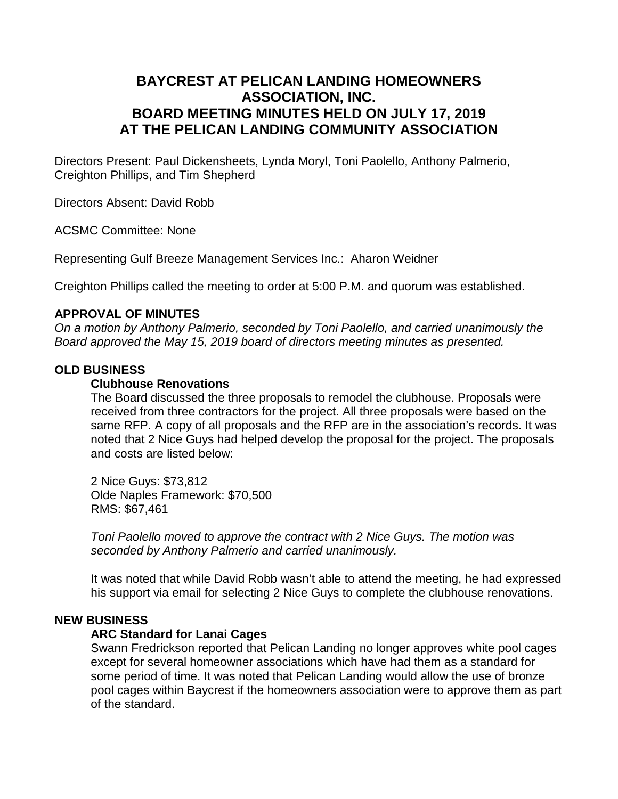# **BAYCREST AT PELICAN LANDING HOMEOWNERS ASSOCIATION, INC. BOARD MEETING MINUTES HELD ON JULY 17, 2019 AT THE PELICAN LANDING COMMUNITY ASSOCIATION**

Directors Present: Paul Dickensheets, Lynda Moryl, Toni Paolello, Anthony Palmerio, Creighton Phillips, and Tim Shepherd

Directors Absent: David Robb

ACSMC Committee: None

Representing Gulf Breeze Management Services Inc.: Aharon Weidner

Creighton Phillips called the meeting to order at 5:00 P.M. and quorum was established.

# **APPROVAL OF MINUTES**

*On a motion by Anthony Palmerio, seconded by Toni Paolello, and carried unanimously the Board approved the May 15, 2019 board of directors meeting minutes as presented.*

# **OLD BUSINESS**

# **Clubhouse Renovations**

The Board discussed the three proposals to remodel the clubhouse. Proposals were received from three contractors for the project. All three proposals were based on the same RFP. A copy of all proposals and the RFP are in the association's records. It was noted that 2 Nice Guys had helped develop the proposal for the project. The proposals and costs are listed below:

2 Nice Guys: \$73,812 Olde Naples Framework: \$70,500 RMS: \$67,461

*Toni Paolello moved to approve the contract with 2 Nice Guys. The motion was seconded by Anthony Palmerio and carried unanimously.*

It was noted that while David Robb wasn't able to attend the meeting, he had expressed his support via email for selecting 2 Nice Guys to complete the clubhouse renovations.

#### **NEW BUSINESS**

# **ARC Standard for Lanai Cages**

Swann Fredrickson reported that Pelican Landing no longer approves white pool cages except for several homeowner associations which have had them as a standard for some period of time. It was noted that Pelican Landing would allow the use of bronze pool cages within Baycrest if the homeowners association were to approve them as part of the standard.